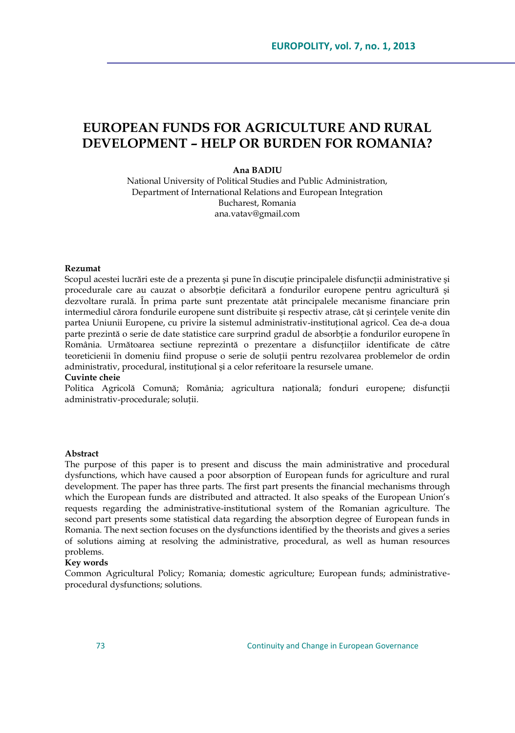# **EUROPEAN FUNDS FOR AGRICULTURE AND RURAL DEVELOPMENT – HELP OR BURDEN FOR ROMANIA?**

### **Ana BADIU**

National University of Political Studies and Public Administration, Department of International Relations and European Integration Bucharest, Romania ana.vatav@gmail.com

### **Rezumat**

Scopul acestei lucrări este de a prezenta și pune în discuție principalele disfuncții administrative și procedurale care au cauzat o absorbție deficitară a fondurilor europene pentru agricultură şi dezvoltare rurală. În prima parte sunt prezentate atât principalele mecanisme financiare prin intermediul cărora fondurile europene sunt distribuite şi respectiv atrase, cât şi cerințele venite din partea Uniunii Europene, cu privire la sistemul administrativ-instituțional agricol. Cea de-a doua parte prezintă o serie de date statistice care surprind gradul de absorbție a fondurilor europene în România. Următoarea sectiune reprezintă o prezentare a disfuncțiilor identificate de către teoreticienii ȋn domeniu fiind propuse o serie de soluții pentru rezolvarea problemelor de ordin administrativ, procedural, instituțional şi a celor referitoare la resursele umane.

#### **Cuvinte cheie**

Politica Agricolă Comună; România; agricultura națională; fonduri europene; disfuncții administrativ-procedurale; soluții.

### **Abstract**

The purpose of this paper is to present and discuss the main administrative and procedural dysfunctions, which have caused a poor absorption of European funds for agriculture and rural development. The paper has three parts. The first part presents the financial mechanisms through which the European funds are distributed and attracted. It also speaks of the European Union"s requests regarding the administrative-institutional system of the Romanian agriculture. The second part presents some statistical data regarding the absorption degree of European funds in Romania. The next section focuses on the dysfunctions identified by the theorists and gives a series of solutions aiming at resolving the administrative, procedural, as well as human resources problems.

### **Key words**

Common Agricultural Policy; Romania; domestic agriculture; European funds; administrativeprocedural dysfunctions; solutions.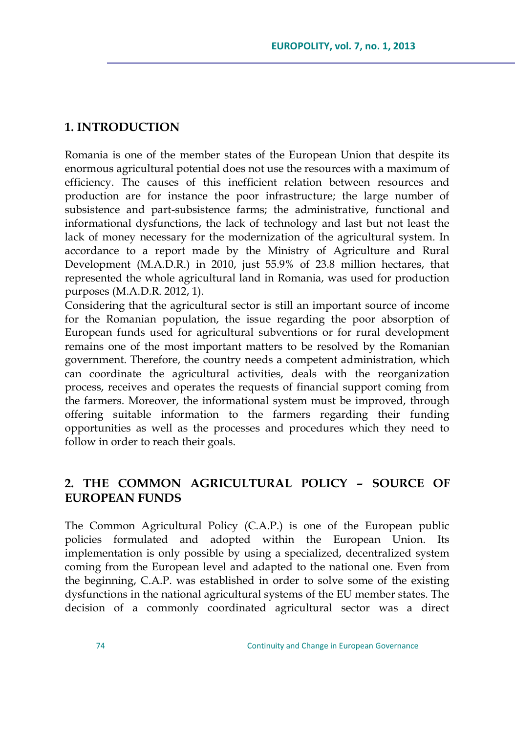### **1. INTRODUCTION**

Romania is one of the member states of the European Union that despite its enormous agricultural potential does not use the resources with a maximum of efficiency. The causes of this inefficient relation between resources and production are for instance the poor infrastructure; the large number of subsistence and part-subsistence farms; the administrative, functional and informational dysfunctions, the lack of technology and last but not least the lack of money necessary for the modernization of the agricultural system. In accordance to a report made by the Ministry of Agriculture and Rural Development (M.A.D.R.) in 2010, just 55.9% of 23.8 million hectares, that represented the whole agricultural land in Romania, was used for production purposes (M.A.D.R. 2012, 1).

Considering that the agricultural sector is still an important source of income for the Romanian population, the issue regarding the poor absorption of European funds used for agricultural subventions or for rural development remains one of the most important matters to be resolved by the Romanian government. Therefore, the country needs a competent administration, which can coordinate the agricultural activities, deals with the reorganization process, receives and operates the requests of financial support coming from the farmers. Moreover, the informational system must be improved, through offering suitable information to the farmers regarding their funding opportunities as well as the processes and procedures which they need to follow in order to reach their goals.

# **2. THE COMMON AGRICULTURAL POLICY – SOURCE OF EUROPEAN FUNDS**

The Common Agricultural Policy (C.A.P.) is one of the European public policies formulated and adopted within the European Union. Its implementation is only possible by using a specialized, decentralized system coming from the European level and adapted to the national one. Even from the beginning, C.A.P. was established in order to solve some of the existing dysfunctions in the national agricultural systems of the EU member states. The decision of a commonly coordinated agricultural sector was a direct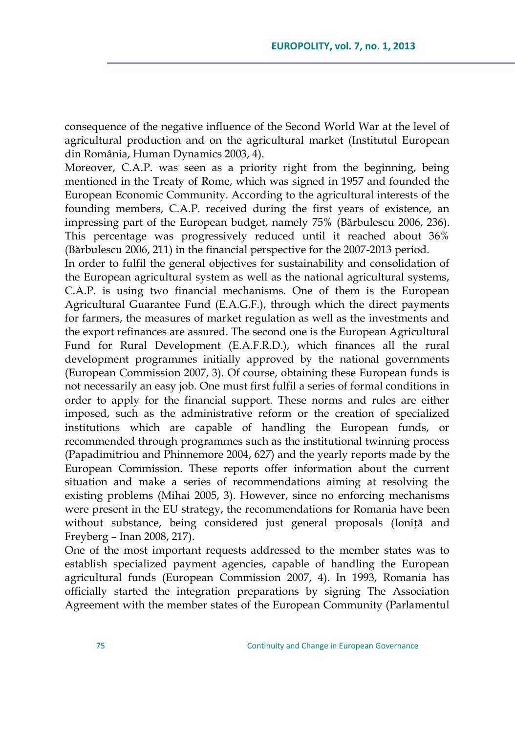consequence of the negative influence of the Second World War at the level of agricultural production and on the agricultural market (Institutul European din România, Human Dynamics 2003, 4).

Moreover, C.A.P. was seen as a priority right from the beginning, being mentioned in the Treaty of Rome, which was signed in 1957 and founded the European Economic Community. According to the agricultural interests of the founding members, C.A.P. received during the first years of existence, an impressing part of the European budget, namely 75% (Bărbulescu 2006, 236). This percentage was progressively reduced until it reached about 36% (Bărbulescu 2006, 211) in the financial perspective for the 2007-2013 period.

In order to fulfil the general objectives for sustainability and consolidation of the European agricultural system as well as the national agricultural systems, C.A.P. is using two financial mechanisms. One of them is the European Agricultural Guarantee Fund (E.A.G.F.), through which the direct payments for farmers, the measures of market regulation as well as the investments and the export refinances are assured. The second one is the European Agricultural Fund for Rural Development (E.A.F.R.D.), which finances all the rural development programmes initially approved by the national governments (European Commission 2007, 3). Of course, obtaining these European funds is not necessarily an easy job. One must first fulfil a series of formal conditions in order to apply for the financial support. These norms and rules are either imposed, such as the administrative reform or the creation of specialized institutions which are capable of handling the European funds, or recommended through programmes such as the institutional twinning process (Papadimitriou and Phinnemore 2004, 627) and the yearly reports made by the European Commission. These reports offer information about the current situation and make a series of recommendations aiming at resolving the existing problems (Mihai 2005, 3). However, since no enforcing mechanisms were present in the EU strategy, the recommendations for Romania have been without substance, being considered just general proposals (Ioniță and Freyberg – Inan 2008, 217).

One of the most important requests addressed to the member states was to establish specialized payment agencies, capable of handling the European agricultural funds (European Commission 2007, 4). In 1993, Romania has officially started the integration preparations by signing The Association Agreement with the member states of the European Community (Parlamentul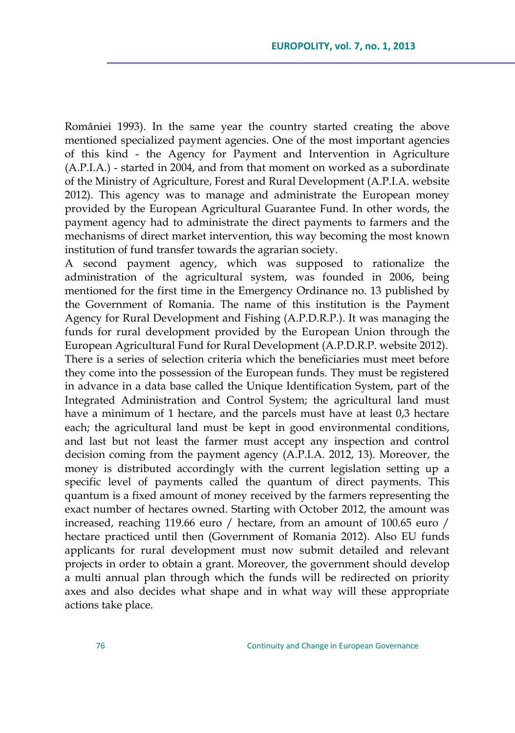României 1993). In the same year the country started creating the above mentioned specialized payment agencies. One of the most important agencies of this kind - the Agency for Payment and Intervention in Agriculture (A.P.I.A.) - started in 2004, and from that moment on worked as a subordinate of the Ministry of Agriculture, Forest and Rural Development (A.P.I.A. website 2012). This agency was to manage and administrate the European money provided by the European Agricultural Guarantee Fund. In other words, the payment agency had to administrate the direct payments to farmers and the mechanisms of direct market intervention, this way becoming the most known institution of fund transfer towards the agrarian society.

A second payment agency, which was supposed to rationalize the administration of the agricultural system, was founded in 2006, being mentioned for the first time in the Emergency Ordinance no. 13 published by the Government of Romania. The name of this institution is the Payment Agency for Rural Development and Fishing (A.P.D.R.P.). It was managing the funds for rural development provided by the European Union through the European Agricultural Fund for Rural Development (A.P.D.R.P. website 2012). There is a series of selection criteria which the beneficiaries must meet before they come into the possession of the European funds. They must be registered in advance in a data base called the Unique Identification System, part of the Integrated Administration and Control System; the agricultural land must have a minimum of 1 hectare, and the parcels must have at least 0,3 hectare each; the agricultural land must be kept in good environmental conditions, and last but not least the farmer must accept any inspection and control decision coming from the payment agency (A.P.I.A. 2012, 13). Moreover, the money is distributed accordingly with the current legislation setting up a specific level of payments called the quantum of direct payments. This quantum is a fixed amount of money received by the farmers representing the exact number of hectares owned. Starting with October 2012, the amount was increased, reaching 119.66 euro / hectare, from an amount of 100.65 euro / hectare practiced until then (Government of Romania 2012). Also EU funds applicants for rural development must now submit detailed and relevant projects in order to obtain a grant. Moreover, the government should develop a multi annual plan through which the funds will be redirected on priority axes and also decides what shape and in what way will these appropriate actions take place.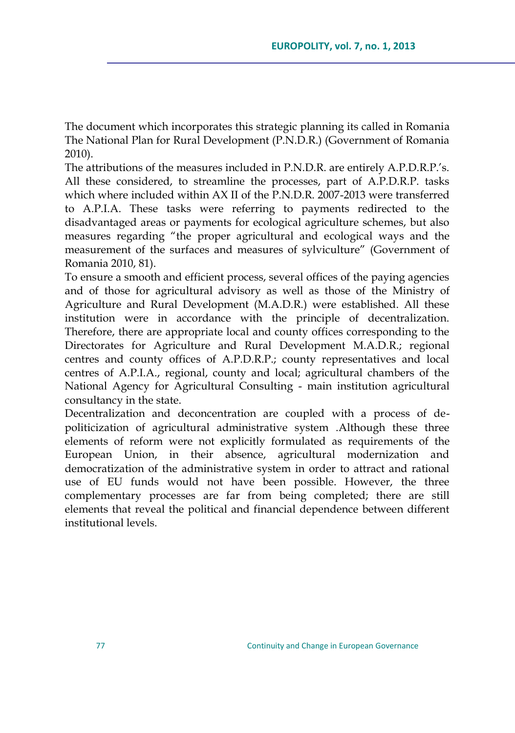The document which incorporates this strategic planning its called in Romania The National Plan for Rural Development (P.N.D.R.) (Government of Romania 2010).

The attributions of the measures included in P.N.D.R. are entirely A.P.D.R.P.'s. All these considered, to streamline the processes, part of A.P.D.R.P. tasks which where included within AX II of the P.N.D.R. 2007-2013 were transferred to A.P.I.A. These tasks were referring to payments redirected to the disadvantaged areas or payments for ecological agriculture schemes, but also measures regarding "the proper agricultural and ecological ways and the measurement of the surfaces and measures of sylviculture" (Government of Romania 2010, 81).

To ensure a smooth and efficient process, several offices of the paying agencies and of those for agricultural advisory as well as those of the Ministry of Agriculture and Rural Development (M.A.D.R.) were established. All these institution were in accordance with the principle of decentralization. Therefore, there are appropriate local and county offices corresponding to the Directorates for Agriculture and Rural Development M.A.D.R.; regional centres and county offices of A.P.D.R.P.; county representatives and local centres of A.P.I.A., regional, county and local; agricultural chambers of the National Agency for Agricultural Consulting - main institution agricultural consultancy in the state.

Decentralization and deconcentration are coupled with a process of depoliticization of agricultural administrative system .Although these three elements of reform were not explicitly formulated as requirements of the European Union, in their absence, agricultural modernization and democratization of the administrative system in order to attract and rational use of EU funds would not have been possible. However, the three complementary processes are far from being completed; there are still elements that reveal the political and financial dependence between different institutional levels.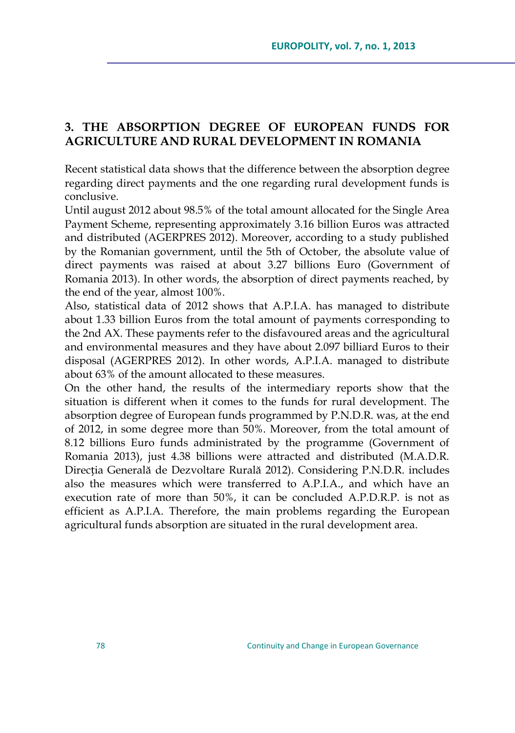# **3. THE ABSORPTION DEGREE OF EUROPEAN FUNDS FOR AGRICULTURE AND RURAL DEVELOPMENT IN ROMANIA**

Recent statistical data shows that the difference between the absorption degree regarding direct payments and the one regarding rural development funds is conclusive.

Until august 2012 about 98.5% of the total amount allocated for the Single Area Payment Scheme, representing approximately 3.16 billion Euros was attracted and distributed (AGERPRES 2012). Moreover, according to a study published by the Romanian government, until the 5th of October, the absolute value of direct payments was raised at about 3.27 billions Euro (Government of Romania 2013). In other words, the absorption of direct payments reached, by the end of the year, almost 100%.

Also, statistical data of 2012 shows that A.P.I.A. has managed to distribute about 1.33 billion Euros from the total amount of payments corresponding to the 2nd AX. These payments refer to the disfavoured areas and the agricultural and environmental measures and they have about 2.097 billiard Euros to their disposal (AGERPRES 2012). In other words, A.P.I.A. managed to distribute about 63% of the amount allocated to these measures.

On the other hand, the results of the intermediary reports show that the situation is different when it comes to the funds for rural development. The absorption degree of European funds programmed by P.N.D.R. was, at the end of 2012, in some degree more than 50%. Moreover, from the total amount of 8.12 billions Euro funds administrated by the programme (Government of Romania 2013), just 4.38 billions were attracted and distributed (M.A.D.R. Direcția Generală de Dezvoltare Rurală 2012). Considering P.N.D.R. includes also the measures which were transferred to A.P.I.A., and which have an execution rate of more than 50%, it can be concluded A.P.D.R.P. is not as efficient as A.P.I.A. Therefore, the main problems regarding the European agricultural funds absorption are situated in the rural development area.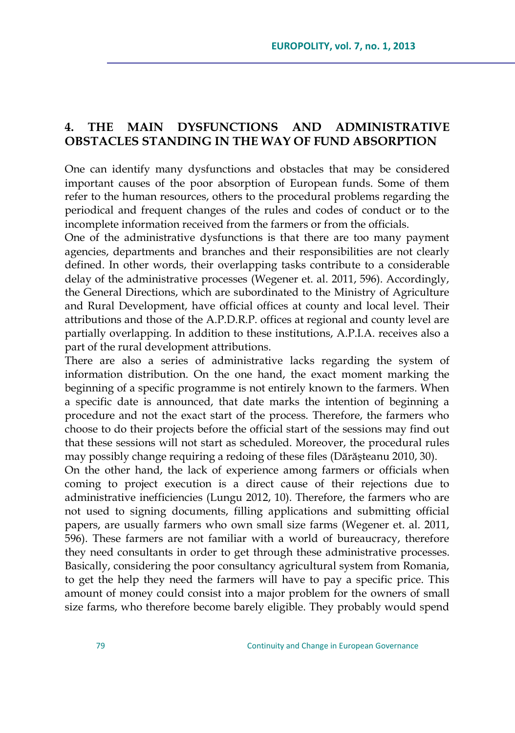## **4. THE MAIN DYSFUNCTIONS AND ADMINISTRATIVE OBSTACLES STANDING IN THE WAY OF FUND ABSORPTION**

One can identify many dysfunctions and obstacles that may be considered important causes of the poor absorption of European funds. Some of them refer to the human resources, others to the procedural problems regarding the periodical and frequent changes of the rules and codes of conduct or to the incomplete information received from the farmers or from the officials.

One of the administrative dysfunctions is that there are too many payment agencies, departments and branches and their responsibilities are not clearly defined. In other words, their overlapping tasks contribute to a considerable delay of the administrative processes (Wegener et. al. 2011, 596). Accordingly, the General Directions, which are subordinated to the Ministry of Agriculture and Rural Development, have official offices at county and local level. Their attributions and those of the A.P.D.R.P. offices at regional and county level are partially overlapping. In addition to these institutions, A.P.I.A. receives also a part of the rural development attributions.

There are also a series of administrative lacks regarding the system of information distribution. On the one hand, the exact moment marking the beginning of a specific programme is not entirely known to the farmers. When a specific date is announced, that date marks the intention of beginning a procedure and not the exact start of the process. Therefore, the farmers who choose to do their projects before the official start of the sessions may find out that these sessions will not start as scheduled. Moreover, the procedural rules may possibly change requiring a redoing of these files (Dărăşteanu 2010, 30).

On the other hand, the lack of experience among farmers or officials when coming to project execution is a direct cause of their rejections due to administrative inefficiencies (Lungu 2012, 10). Therefore, the farmers who are not used to signing documents, filling applications and submitting official papers, are usually farmers who own small size farms (Wegener et. al. 2011, 596). These farmers are not familiar with a world of bureaucracy, therefore they need consultants in order to get through these administrative processes. Basically, considering the poor consultancy agricultural system from Romania, to get the help they need the farmers will have to pay a specific price. This amount of money could consist into a major problem for the owners of small size farms, who therefore become barely eligible. They probably would spend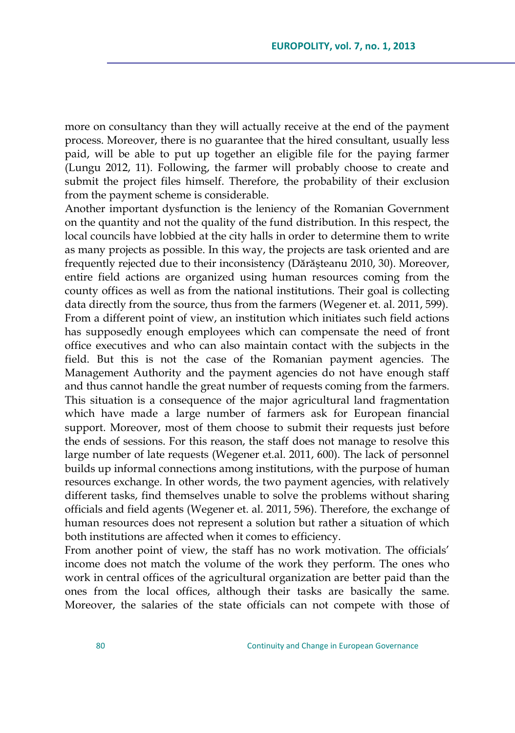more on consultancy than they will actually receive at the end of the payment process. Moreover, there is no guarantee that the hired consultant, usually less paid, will be able to put up together an eligible file for the paying farmer (Lungu 2012, 11). Following, the farmer will probably choose to create and submit the project files himself. Therefore, the probability of their exclusion from the payment scheme is considerable.

Another important dysfunction is the leniency of the Romanian Government on the quantity and not the quality of the fund distribution. In this respect, the local councils have lobbied at the city halls in order to determine them to write as many projects as possible. In this way, the projects are task oriented and are frequently rejected due to their inconsistency (Dărăşteanu 2010, 30). Moreover, entire field actions are organized using human resources coming from the county offices as well as from the national institutions. Their goal is collecting data directly from the source, thus from the farmers (Wegener et. al. 2011, 599). From a different point of view, an institution which initiates such field actions has supposedly enough employees which can compensate the need of front office executives and who can also maintain contact with the subjects in the field. But this is not the case of the Romanian payment agencies. The Management Authority and the payment agencies do not have enough staff and thus cannot handle the great number of requests coming from the farmers. This situation is a consequence of the major agricultural land fragmentation which have made a large number of farmers ask for European financial support. Moreover, most of them choose to submit their requests just before the ends of sessions. For this reason, the staff does not manage to resolve this large number of late requests (Wegener et.al. 2011, 600). The lack of personnel builds up informal connections among institutions, with the purpose of human resources exchange. In other words, the two payment agencies, with relatively different tasks, find themselves unable to solve the problems without sharing officials and field agents (Wegener et. al. 2011, 596). Therefore, the exchange of human resources does not represent a solution but rather a situation of which both institutions are affected when it comes to efficiency.

From another point of view, the staff has no work motivation. The officials' income does not match the volume of the work they perform. The ones who work in central offices of the agricultural organization are better paid than the ones from the local offices, although their tasks are basically the same. Moreover, the salaries of the state officials can not compete with those of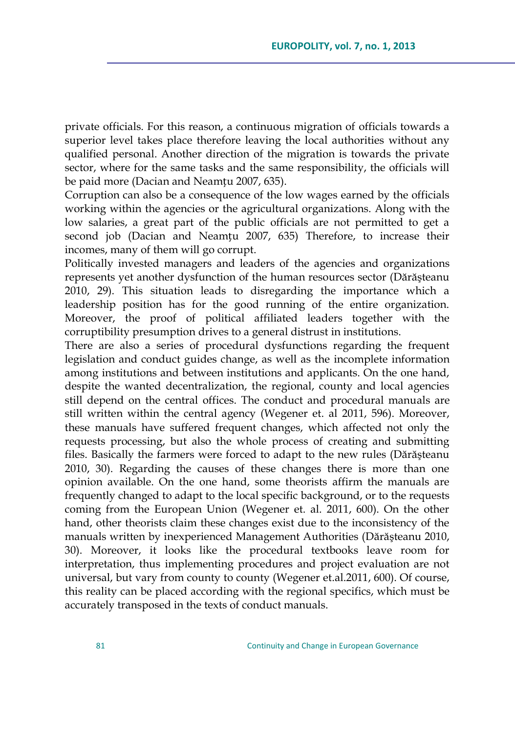private officials. For this reason, a continuous migration of officials towards a superior level takes place therefore leaving the local authorities without any qualified personal. Another direction of the migration is towards the private sector, where for the same tasks and the same responsibility, the officials will be paid more (Dacian and Neamțu 2007, 635).

Corruption can also be a consequence of the low wages earned by the officials working within the agencies or the agricultural organizations. Along with the low salaries, a great part of the public officials are not permitted to get a second job (Dacian and Neamțu 2007, 635) Therefore, to increase their incomes, many of them will go corrupt.

Politically invested managers and leaders of the agencies and organizations represents yet another dysfunction of the human resources sector (Dărăşteanu 2010, 29). This situation leads to disregarding the importance which a leadership position has for the good running of the entire organization. Moreover, the proof of political affiliated leaders together with the corruptibility presumption drives to a general distrust in institutions.

There are also a series of procedural dysfunctions regarding the frequent legislation and conduct guides change, as well as the incomplete information among institutions and between institutions and applicants. On the one hand, despite the wanted decentralization, the regional, county and local agencies still depend on the central offices. The conduct and procedural manuals are still written within the central agency (Wegener et. al 2011, 596). Moreover, these manuals have suffered frequent changes, which affected not only the requests processing, but also the whole process of creating and submitting files. Basically the farmers were forced to adapt to the new rules (Dărăşteanu 2010, 30). Regarding the causes of these changes there is more than one opinion available. On the one hand, some theorists affirm the manuals are frequently changed to adapt to the local specific background, or to the requests coming from the European Union (Wegener et. al. 2011, 600). On the other hand, other theorists claim these changes exist due to the inconsistency of the manuals written by inexperienced Management Authorities (Dărăşteanu 2010, 30). Moreover, it looks like the procedural textbooks leave room for interpretation, thus implementing procedures and project evaluation are not universal, but vary from county to county (Wegener et.al.2011, 600). Of course, this reality can be placed according with the regional specifics, which must be accurately transposed in the texts of conduct manuals.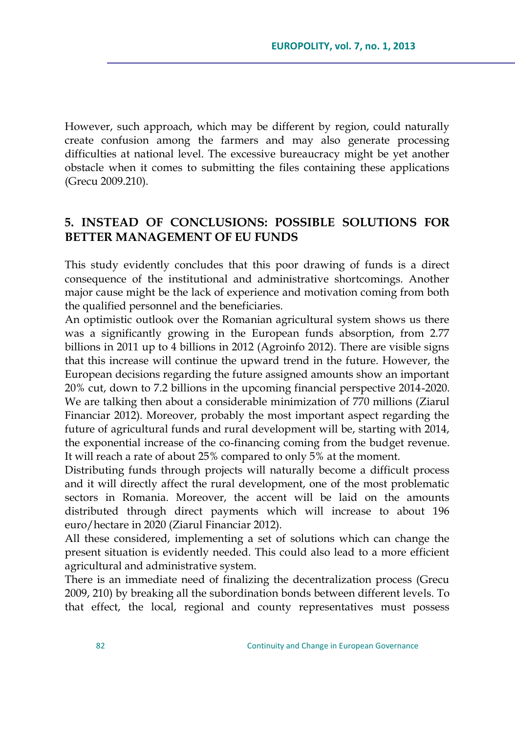However, such approach, which may be different by region, could naturally create confusion among the farmers and may also generate processing difficulties at national level. The excessive bureaucracy might be yet another obstacle when it comes to submitting the files containing these applications (Grecu 2009.210).

## **5. INSTEAD OF CONCLUSIONS: POSSIBLE SOLUTIONS FOR BETTER MANAGEMENT OF EU FUNDS**

This study evidently concludes that this poor drawing of funds is a direct consequence of the institutional and administrative shortcomings. Another major cause might be the lack of experience and motivation coming from both the qualified personnel and the beneficiaries.

An optimistic outlook over the Romanian agricultural system shows us there was a significantly growing in the European funds absorption, from 2.77 billions in 2011 up to 4 billions in 2012 (Agroinfo 2012). There are visible signs that this increase will continue the upward trend in the future. However, the European decisions regarding the future assigned amounts show an important 20% cut, down to 7.2 billions in the upcoming financial perspective 2014-2020. We are talking then about a considerable minimization of 770 millions (Ziarul Financiar 2012). Moreover, probably the most important aspect regarding the future of agricultural funds and rural development will be, starting with 2014, the exponential increase of the co-financing coming from the budget revenue. It will reach a rate of about 25% compared to only 5% at the moment.

Distributing funds through projects will naturally become a difficult process and it will directly affect the rural development, one of the most problematic sectors in Romania. Moreover, the accent will be laid on the amounts distributed through direct payments which will increase to about 196 euro/hectare in 2020 (Ziarul Financiar 2012).

All these considered, implementing a set of solutions which can change the present situation is evidently needed. This could also lead to a more efficient agricultural and administrative system.

There is an immediate need of finalizing the decentralization process (Grecu 2009, 210) by breaking all the subordination bonds between different levels. To that effect, the local, regional and county representatives must possess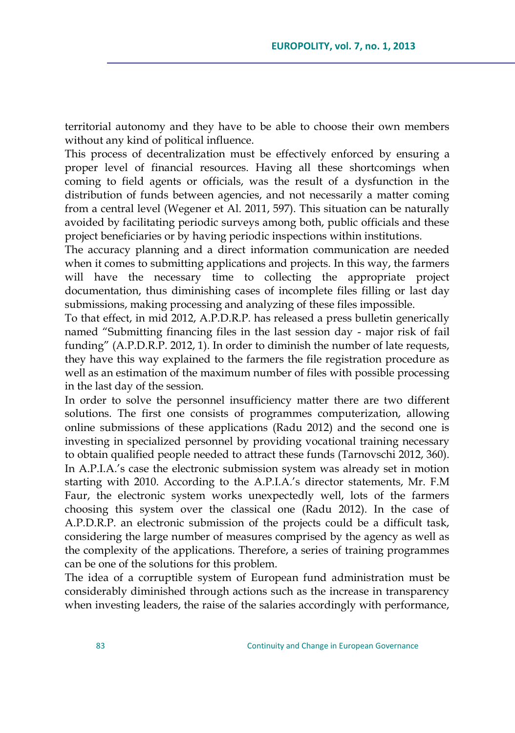territorial autonomy and they have to be able to choose their own members without any kind of political influence.

This process of decentralization must be effectively enforced by ensuring a proper level of financial resources. Having all these shortcomings when coming to field agents or officials, was the result of a dysfunction in the distribution of funds between agencies, and not necessarily a matter coming from a central level (Wegener et Al. 2011, 597). This situation can be naturally avoided by facilitating periodic surveys among both, public officials and these project beneficiaries or by having periodic inspections within institutions.

The accuracy planning and a direct information communication are needed when it comes to submitting applications and projects. In this way, the farmers will have the necessary time to collecting the appropriate project documentation, thus diminishing cases of incomplete files filling or last day submissions, making processing and analyzing of these files impossible.

To that effect, in mid 2012, A.P.D.R.P. has released a press bulletin generically named "Submitting financing files in the last session day - major risk of fail funding" (A.P.D.R.P. 2012, 1). In order to diminish the number of late requests, they have this way explained to the farmers the file registration procedure as well as an estimation of the maximum number of files with possible processing in the last day of the session.

In order to solve the personnel insufficiency matter there are two different solutions. The first one consists of programmes computerization, allowing online submissions of these applications (Radu 2012) and the second one is investing in specialized personnel by providing vocational training necessary to obtain qualified people needed to attract these funds (Tarnovschi 2012, 360). In A.P.I.A.'s case the electronic submission system was already set in motion starting with 2010. According to the A.P.I.A.'s director statements, Mr. F.M Faur, the electronic system works unexpectedly well, lots of the farmers choosing this system over the classical one (Radu 2012). In the case of A.P.D.R.P. an electronic submission of the projects could be a difficult task, considering the large number of measures comprised by the agency as well as the complexity of the applications. Therefore, a series of training programmes can be one of the solutions for this problem.

The idea of a corruptible system of European fund administration must be considerably diminished through actions such as the increase in transparency when investing leaders, the raise of the salaries accordingly with performance,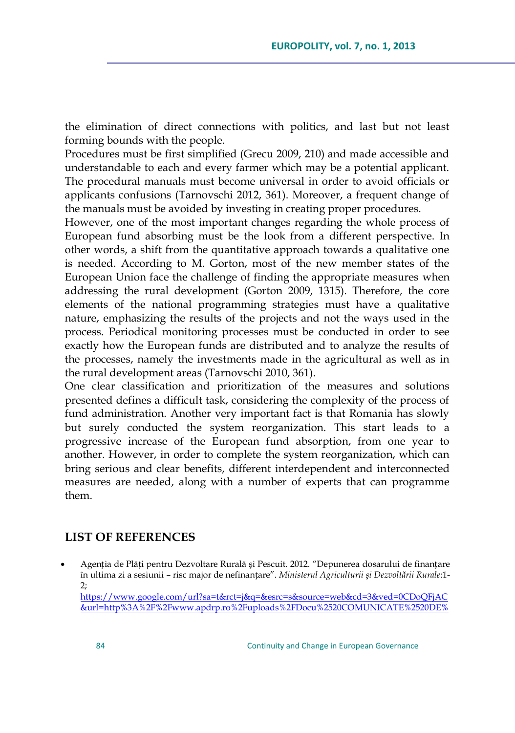the elimination of direct connections with politics, and last but not least forming bounds with the people.

Procedures must be first simplified (Grecu 2009, 210) and made accessible and understandable to each and every farmer which may be a potential applicant. The procedural manuals must become universal in order to avoid officials or applicants confusions (Tarnovschi 2012, 361). Moreover, a frequent change of the manuals must be avoided by investing in creating proper procedures.

However, one of the most important changes regarding the whole process of European fund absorbing must be the look from a different perspective. In other words, a shift from the quantitative approach towards a qualitative one is needed. According to M. Gorton, most of the new member states of the European Union face the challenge of finding the appropriate measures when addressing the rural development (Gorton 2009, 1315). Therefore, the core elements of the national programming strategies must have a qualitative nature, emphasizing the results of the projects and not the ways used in the process. Periodical monitoring processes must be conducted in order to see exactly how the European funds are distributed and to analyze the results of the processes, namely the investments made in the agricultural as well as in the rural development areas (Tarnovschi 2010, 361).

One clear classification and prioritization of the measures and solutions presented defines a difficult task, considering the complexity of the process of fund administration. Another very important fact is that Romania has slowly but surely conducted the system reorganization. This start leads to a progressive increase of the European fund absorption, from one year to another. However, in order to complete the system reorganization, which can bring serious and clear benefits, different interdependent and interconnected measures are needed, along with a number of experts that can programme them.

## **LIST OF REFERENCES**

 Agenția de Plăți pentru Dezvoltare Rurală şi Pescuit. 2012. "Depunerea dosarului de finanțare în ultima zi a sesiunii – risc major de nefinanțare". *Ministerul Agriculturii şi Dezvoltării Rurale*:1- 2;

[https://www.google.com/url?sa=t&rct=j&q=&esrc=s&source=web&cd=3&ved=0CDoQFjAC](https://www.google.com/url?sa=t&rct=j&q=&esrc=s&source=web&cd=3&ved=0CDoQFjAC&url=http%3A%2F%2Fwww.apdrp.ro%2Fuploads%2FDocu%2520COMUNICATE%2520DE%2520PRESA%2FCdeP%25202012%2FCP_08.06.2012_depunere_dosare.doc&ei=pcdmUb27MKKK4ASO9oHQAQ&usg=AFQjCNFkpdspiIRYsjiuasTUkEraRiyJdA&sig2=1Ku00HzgbTK66Y65tZHMow&bvm=bv.45107431,d.bGE) [&url=http%3A%2F%2Fwww.apdrp.ro%2Fuploads%2FDocu%2520COMUNICATE%2520DE%](https://www.google.com/url?sa=t&rct=j&q=&esrc=s&source=web&cd=3&ved=0CDoQFjAC&url=http%3A%2F%2Fwww.apdrp.ro%2Fuploads%2FDocu%2520COMUNICATE%2520DE%2520PRESA%2FCdeP%25202012%2FCP_08.06.2012_depunere_dosare.doc&ei=pcdmUb27MKKK4ASO9oHQAQ&usg=AFQjCNFkpdspiIRYsjiuasTUkEraRiyJdA&sig2=1Ku00HzgbTK66Y65tZHMow&bvm=bv.45107431,d.bGE)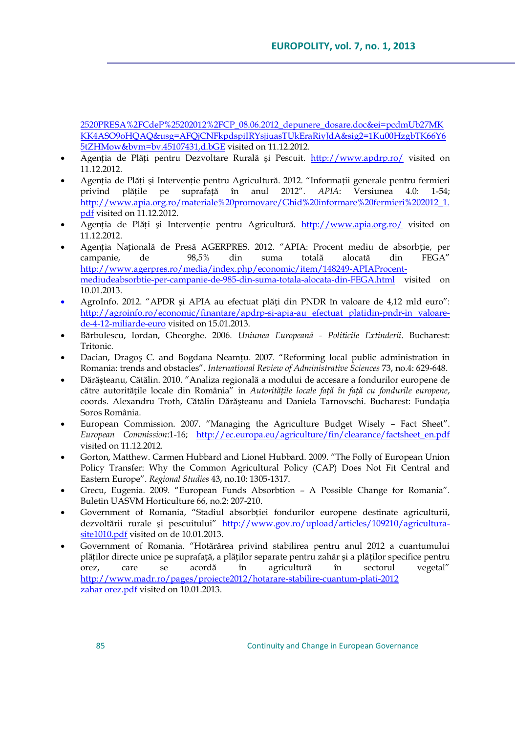2520PRESA%2FCdeP%25202012%2FCP\_08.06.2012\_depunere\_dosare.doc&ei=pcdmUb27MK KK4ASO9oHQAQ&usg=AFQjCNFkpdspiIRYsjiuasTUkEraRiyJdA&sig2=1Ku00HzgbTK66Y6 5tZHMow&bvm=bv.45107431,d.bGE visited on 11.12.2012.

- Agenția de Plăți pentru Dezvoltare Rurală şi Pescuit. <http://www.apdrp.ro/> visited on 11.12.2012.
- Agenția de Plăți şi Intervenție pentru Agricultură. 2012. "Informații generale pentru fermieri privind plățile pe suprafață în anul 2012". *APIA*: Versiunea 4.0: 1-54; [http://www.apia.org.ro/materiale%20promovare/Ghid%20informare%20fermieri%202012\\_1.](http://www.apia.org.ro/materiale%20promovare/Ghid%20informare%20fermieri%202012_1.pdf) [pdf](http://www.apia.org.ro/materiale%20promovare/Ghid%20informare%20fermieri%202012_1.pdf) visited on 11.12.2012.
- Agenția de Plăți și Intervenție pentru Agricultură. <http://www.apia.org.ro/> visited on 11.12.2012
- Agenția Națională de Presă AGERPRES. 2012. "APIA: Procent mediu de absorbție, per campanie, de 98,5% din suma totală alocată din FEGA" [http://www.agerpres.ro/media/index.php/economic/item/148249-APIAProcent](http://www.agerpres.ro/media/index.php/economic/item/148249-APIAProcent-mediudeabsorbtie-per-campanie-de-985-din-suma-totala-alocata-din-FEGA.html)[mediudeabsorbtie-per-campanie-de-985-din-suma-totala-alocata-din-FEGA.html](http://www.agerpres.ro/media/index.php/economic/item/148249-APIAProcent-mediudeabsorbtie-per-campanie-de-985-din-suma-totala-alocata-din-FEGA.html) visited on 10.01.2013.
- AgroInfo. 2012. "APDR şi APIA au efectuat plăți din PNDR în valoare de 4,12 mld euro": [http://agroinfo.ro/economic/finantare/apdrp-si-apia-au efectuat platidin-pndr-in valoare](http://agroinfo.ro/economic/finantare/apdrp-si-apia-au%20efectuat%20platidin-pndr-in%20valoare-de-4-12-miliarde-euro)[de-4-12-miliarde-euro](http://agroinfo.ro/economic/finantare/apdrp-si-apia-au%20efectuat%20platidin-pndr-in%20valoare-de-4-12-miliarde-euro) visited on 15.01.2013.
- Bărbulescu, Iordan, Gheorghe. 2006. *Uniunea Europeană - Politicile Extinderii*. Bucharest: Tritonic.
- Dacian, Dragoş C. and Bogdana Neamțu. 2007. "Reforming local public administration in Romania: trends and obstacles". *International Review of Administrative Sciences* 73, no.4: 629-648.
- Dărăşteanu, Cătălin. 2010. "Analiza regională a modului de accesare a fondurilor europene de către autoritățile locale din România" in *Autoritățile locale față în față cu fondurile europene*, coords. Alexandru Troth, Cătălin Dărăşteanu and Daniela Tarnovschi. Bucharest: Fundația Soros România.
- European Commission. 2007. "Managing the Agriculture Budget Wisely Fact Sheet". *European Commission*:1-16; [http://ec.europa.eu/agriculture/fin/clearance/factsheet\\_en.pdf](http://ec.europa.eu/agriculture/fin/clearance/factsheet_en.pdf) visited on 11.12.2012.
- Gorton, Matthew. Carmen Hubbard and Lionel Hubbard. 2009. "The Folly of European Union Policy Transfer: Why the Common Agricultural Policy (CAP) Does Not Fit Central and Eastern Europe". *Regional Studies* 43, no.10: 1305-1317.
- Grecu, Eugenia. 2009. "European Funds Absorbtion A Possible Change for Romania". Buletin UASVM Horticulture 66, no.2: 207-210.
- Government of Romania, "Stadiul absorbției fondurilor europene destinate agriculturii, dezvoltării rurale şi pescuitului" [http://www.gov.ro/upload/articles/109210/agricultura](http://www.gov.ro/upload/articles/109210/agricultura-site1010.pdf)[site1010.pdf](http://www.gov.ro/upload/articles/109210/agricultura-site1010.pdf) visited on de 10.01.2013.
- Government of Romania. "Hotărârea privind stabilirea pentru anul 2012 a cuantumului plăților directe unice pe suprafață, a plăților separate pentru zahăr şi a plăților specifice pentru orez, care se acordă în agricultură în sectorul vegetal" [http://www.madr.ro/pages/proiecte2012/hotarare-stabilire-cuantum-plati-2012](http://www.madr.ro/pages/proiecte2012/hotarare-stabilire-cuantum-plati-2012zahar%20orez.pdf) [zahar orez.pdf](http://www.madr.ro/pages/proiecte2012/hotarare-stabilire-cuantum-plati-2012zahar%20orez.pdf) visited on 10.01.2013.